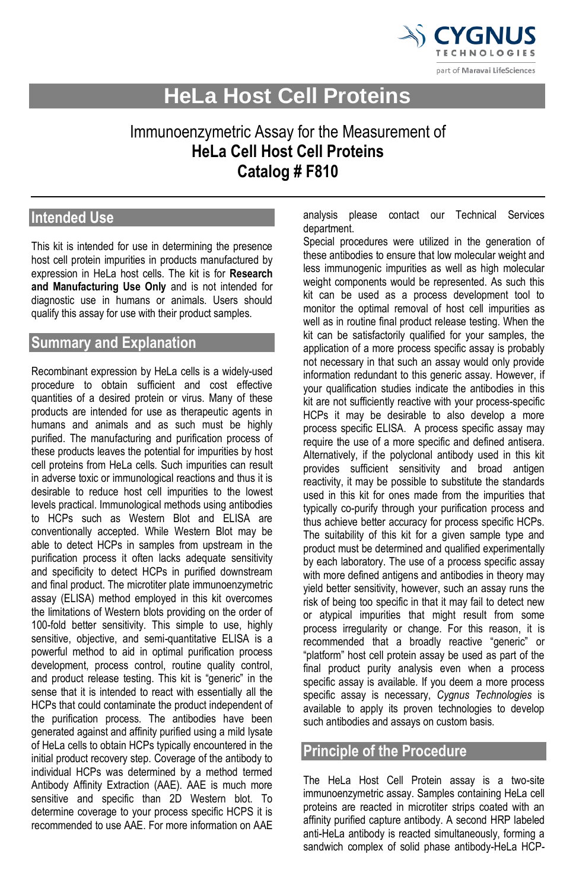

# **HeLa Host Cell Proteins**

## Immunoenzymetric Assay for the Measurement of **HeLa Cell Host Cell Proteins Catalog # F810**

## **Intended Use**

This kit is intended for use in determining the presence host cell protein impurities in products manufactured by expression in HeLa host cells. The kit is for **Research and Manufacturing Use Only** and is not intended for diagnostic use in humans or animals. Users should qualify this assay for use with their product samples.

### **Summary and Explanation**

Recombinant expression by HeLa cells is a widely-used procedure to obtain sufficient and cost effective quantities of a desired protein or virus. Many of these products are intended for use as therapeutic agents in humans and animals and as such must be highly purified. The manufacturing and purification process of these products leaves the potential for impurities by host cell proteins from HeLa cells*.* Such impurities can result in adverse toxic or immunological reactions and thus it is desirable to reduce host cell impurities to the lowest levels practical. Immunological methods using antibodies to HCPs such as Western Blot and ELISA are conventionally accepted. While Western Blot may be able to detect HCPs in samples from upstream in the purification process it often lacks adequate sensitivity and specificity to detect HCPs in purified downstream and final product. The microtiter plate immunoenzymetric assay (ELISA) method employed in this kit overcomes the limitations of Western blots providing on the order of 100-fold better sensitivity. This simple to use, highly sensitive, objective, and semi-quantitative ELISA is a powerful method to aid in optimal purification process development, process control, routine quality control, and product release testing. This kit is "generic" in the sense that it is intended to react with essentially all the HCPs that could contaminate the product independent of the purification process. The antibodies have been generated against and affinity purified using a mild lysate of HeLa cells to obtain HCPs typically encountered in the initial product recovery step. Coverage of the antibody to individual HCPs was determined by a method termed Antibody Affinity Extraction (AAE). AAE is much more sensitive and specific than 2D Western blot. To determine coverage to your process specific HCPS it is recommended to use AAE. For more information on AAE

analysis please contact our Technical Services department.

Special procedures were utilized in the generation of these antibodies to ensure that low molecular weight and less immunogenic impurities as well as high molecular weight components would be represented. As such this kit can be used as a process development tool to monitor the optimal removal of host cell impurities as well as in routine final product release testing. When the kit can be satisfactorily qualified for your samples, the application of a more process specific assay is probably not necessary in that such an assay would only provide information redundant to this generic assay. However, if your qualification studies indicate the antibodies in this kit are not sufficiently reactive with your process-specific HCPs it may be desirable to also develop a more process specific ELISA. A process specific assay may require the use of a more specific and defined antisera. Alternatively, if the polyclonal antibody used in this kit provides sufficient sensitivity and broad antigen reactivity, it may be possible to substitute the standards used in this kit for ones made from the impurities that typically co-purify through your purification process and thus achieve better accuracy for process specific HCPs. The suitability of this kit for a given sample type and product must be determined and qualified experimentally by each laboratory. The use of a process specific assay with more defined antigens and antibodies in theory may yield better sensitivity, however, such an assay runs the risk of being too specific in that it may fail to detect new or atypical impurities that might result from some process irregularity or change. For this reason, it is recommended that a broadly reactive "generic" or "platform" host cell protein assay be used as part of the final product purity analysis even when a process specific assay is available. If you deem a more process specific assay is necessary, *Cygnus Technologies* is available to apply its proven technologies to develop such antibodies and assays on custom basis.

#### **Principle of the Procedure**

The HeLa Host Cell Protein assay is a two-site immunoenzymetric assay. Samples containing HeLa cell proteins are reacted in microtiter strips coated with an affinity purified capture antibody. A second HRP labeled anti-HeLa antibody is reacted simultaneously, forming a sandwich complex of solid phase antibody-HeLa HCP-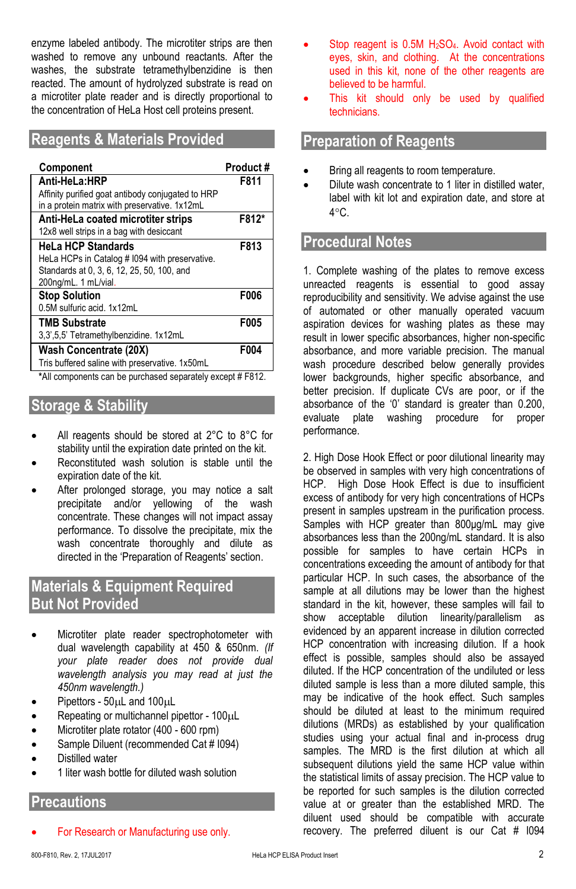enzyme labeled antibody. The microtiter strips are then washed to remove any unbound reactants. After the washes, the substrate tetramethylbenzidine is then reacted. The amount of hydrolyzed substrate is read on a microtiter plate reader and is directly proportional to the concentration of HeLa Host cell proteins present.

## **Reagents & Materials Provided**

| Component                                                 | Product # |  |
|-----------------------------------------------------------|-----------|--|
| Anti-HeLa:HRP                                             | F811      |  |
| Affinity purified goat antibody conjugated to HRP         |           |  |
| in a protein matrix with preservative. 1x12mL             |           |  |
| Anti-HeLa coated microtiter strips                        | F812*     |  |
| 12x8 well strips in a bag with desiccant                  |           |  |
| <b>HeLa HCP Standards</b>                                 | F813      |  |
| HeLa HCPs in Catalog #1094 with preservative.             |           |  |
| Standards at 0, 3, 6, 12, 25, 50, 100, and                |           |  |
| 200ng/mL. 1 mL/vial.                                      |           |  |
| <b>Stop Solution</b>                                      | F006      |  |
| 0.5M sulfuric acid. 1x12mL                                |           |  |
| <b>TMB Substrate</b>                                      | F005      |  |
| 3,3',5,5' Tetramethylbenzidine. 1x12mL                    |           |  |
| Wash Concentrate (20X)                                    | F004      |  |
| Tris buffered saline with preservative. 1x50mL            |           |  |
| *All companents can be purphased concretely overst # E919 |           |  |

**\***All components can be purchased separately except # F812.

## **Storage & Stability**

- All reagents should be stored at 2°C to 8°C for stability until the expiration date printed on the kit.
- Reconstituted wash solution is stable until the expiration date of the kit.
- After prolonged storage, you may notice a salt precipitate and/or yellowing of the wash concentrate. These changes will not impact assay performance. To dissolve the precipitate, mix the wash concentrate thoroughly and dilute as directed in the 'Preparation of Reagents' section.

## **Materials & Equipment Required But Not Provided**

- Microtiter plate reader spectrophotometer with dual wavelength capability at 450 & 650nm. *(If your plate reader does not provide dual wavelength analysis you may read at just the 450nm wavelength.)*
- Pipettors 50uL and 100uL
- Repeating or multichannel pipettor 100µL
- Microtiter plate rotator (400 600 rpm)
- Sample Diluent (recommended Cat # I094)
- Distilled water
- 1 liter wash bottle for diluted wash solution

#### **Precautions**

For Research or Manufacturing use only.

- Stop reagent is 0.5M H<sub>2</sub>SO<sub>4</sub>. Avoid contact with eyes, skin, and clothing. At the concentrations used in this kit, none of the other reagents are believed to be harmful.
- This kit should only be used by qualified technicians.

#### **Preparation of Reagents**

- Bring all reagents to room temperature.
- Dilute wash concentrate to 1 liter in distilled water, label with kit lot and expiration date, and store at  $4^{\circ}$ C.

### **Procedural Notes**

1. Complete washing of the plates to remove excess unreacted reagents is essential to good assay reproducibility and sensitivity. We advise against the use of automated or other manually operated vacuum aspiration devices for washing plates as these may result in lower specific absorbances, higher non-specific absorbance, and more variable precision. The manual wash procedure described below generally provides lower backgrounds, higher specific absorbance, and better precision. If duplicate CVs are poor, or if the absorbance of the '0' standard is greater than 0.200, evaluate plate washing procedure for proper performance.

2. High Dose Hook Effect or poor dilutional linearity may be observed in samples with very high concentrations of HCP. High Dose Hook Effect is due to insufficient excess of antibody for very high concentrations of HCPs present in samples upstream in the purification process. Samples with HCP greater than 800µg/mL may give absorbances less than the 200ng/mL standard. It is also possible for samples to have certain HCPs in concentrations exceeding the amount of antibody for that particular HCP. In such cases, the absorbance of the sample at all dilutions may be lower than the highest standard in the kit, however, these samples will fail to show acceptable dilution linearity/parallelism as evidenced by an apparent increase in dilution corrected HCP concentration with increasing dilution. If a hook effect is possible, samples should also be assayed diluted. If the HCP concentration of the undiluted or less diluted sample is less than a more diluted sample, this may be indicative of the hook effect. Such samples should be diluted at least to the minimum required dilutions (MRDs) as established by your qualification studies using your actual final and in-process drug samples. The MRD is the first dilution at which all subsequent dilutions vield the same HCP value within the statistical limits of assay precision. The HCP value to be reported for such samples is the dilution corrected value at or greater than the established MRD. The diluent used should be compatible with accurate recovery. The preferred diluent is our Cat # I094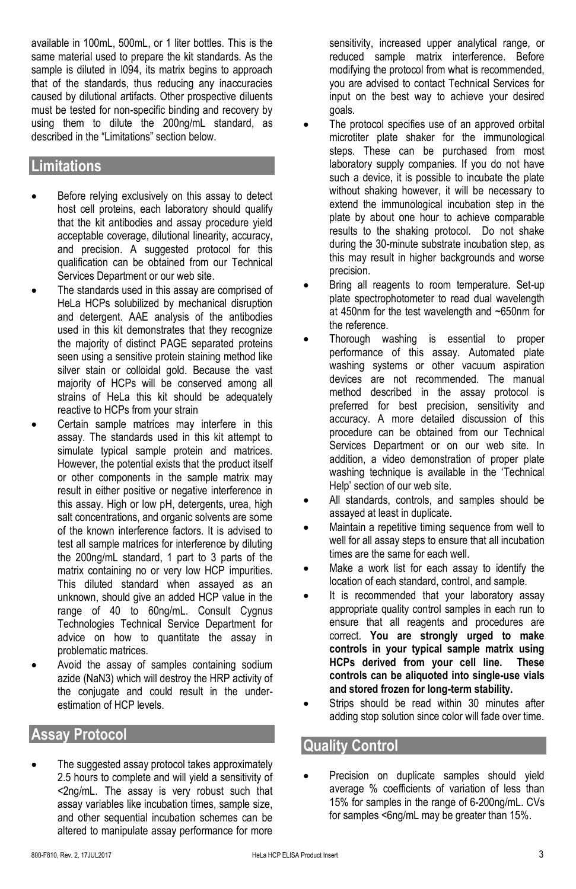available in 100mL, 500mL, or 1 liter bottles. This is the same material used to prepare the kit standards. As the sample is diluted in I094, its matrix begins to approach that of the standards, thus reducing any inaccuracies caused by dilutional artifacts. Other prospective diluents must be tested for non-specific binding and recovery by using them to dilute the 200ng/mL standard, as described in the "Limitations" section below.

#### **Limitations**

- Before relying exclusively on this assay to detect host cell proteins, each laboratory should qualify that the kit antibodies and assay procedure yield acceptable coverage, dilutional linearity, accuracy, and precision. A suggested protocol for this qualification can be obtained from our Technical Services Department or our web site.
- The standards used in this assay are comprised of HeLa HCPs solubilized by mechanical disruption and detergent. AAE analysis of the antibodies used in this kit demonstrates that they recognize the majority of distinct PAGE separated proteins seen using a sensitive protein staining method like silver stain or colloidal gold. Because the vast majority of HCPs will be conserved among all strains of HeLa this kit should be adequately reactive to HCPs from your strain
- Certain sample matrices may interfere in this assay. The standards used in this kit attempt to simulate typical sample protein and matrices. However, the potential exists that the product itself or other components in the sample matrix may result in either positive or negative interference in this assay. High or low pH, detergents, urea, high salt concentrations, and organic solvents are some of the known interference factors. It is advised to test all sample matrices for interference by diluting the 200ng/mL standard, 1 part to 3 parts of the matrix containing no or very low HCP impurities. This diluted standard when assayed as an unknown, should give an added HCP value in the range of 40 to 60ng/mL. Consult Cygnus Technologies Technical Service Department for advice on how to quantitate the assay in problematic matrices.
- Avoid the assay of samples containing sodium azide (NaN3) which will destroy the HRP activity of the conjugate and could result in the underestimation of HCP levels.

## **Assay Protocol**

The suggested assay protocol takes approximately 2.5 hours to complete and will yield a sensitivity of <2ng/mL. The assay is very robust such that assay variables like incubation times, sample size, and other sequential incubation schemes can be altered to manipulate assay performance for more

sensitivity, increased upper analytical range, or reduced sample matrix interference. Before modifying the protocol from what is recommended, you are advised to contact Technical Services for input on the best way to achieve your desired goals.

- The protocol specifies use of an approved orbital microtiter plate shaker for the immunological steps. These can be purchased from most laboratory supply companies. If you do not have such a device, it is possible to incubate the plate without shaking however, it will be necessary to extend the immunological incubation step in the plate by about one hour to achieve comparable results to the shaking protocol. Do not shake during the 30-minute substrate incubation step, as this may result in higher backgrounds and worse precision.
- Bring all reagents to room temperature. Set-up plate spectrophotometer to read dual wavelength at 450nm for the test wavelength and ~650nm for the reference.
- Thorough washing is essential to proper performance of this assay. Automated plate washing systems or other vacuum aspiration devices are not recommended. The manual method described in the assay protocol is preferred for best precision, sensitivity and accuracy. A more detailed discussion of this procedure can be obtained from our Technical Services Department or on our web site. In addition, a video demonstration of proper plate washing technique is available in the 'Technical Help' section of our web site.
- All standards, controls, and samples should be assayed at least in duplicate.
- Maintain a repetitive timing sequence from well to well for all assay steps to ensure that all incubation times are the same for each well.
- Make a work list for each assay to identify the location of each standard, control, and sample.
- It is recommended that your laboratory assay appropriate quality control samples in each run to ensure that all reagents and procedures are correct. **You are strongly urged to make controls in your typical sample matrix using HCPs derived from your cell line. These controls can be aliquoted into single-use vials and stored frozen for long-term stability.**
- Strips should be read within 30 minutes after adding stop solution since color will fade over time.

#### **Quality Control**

 Precision on duplicate samples should yield average % coefficients of variation of less than 15% for samples in the range of 6-200ng/mL. CVs for samples <6ng/mL may be greater than 15%.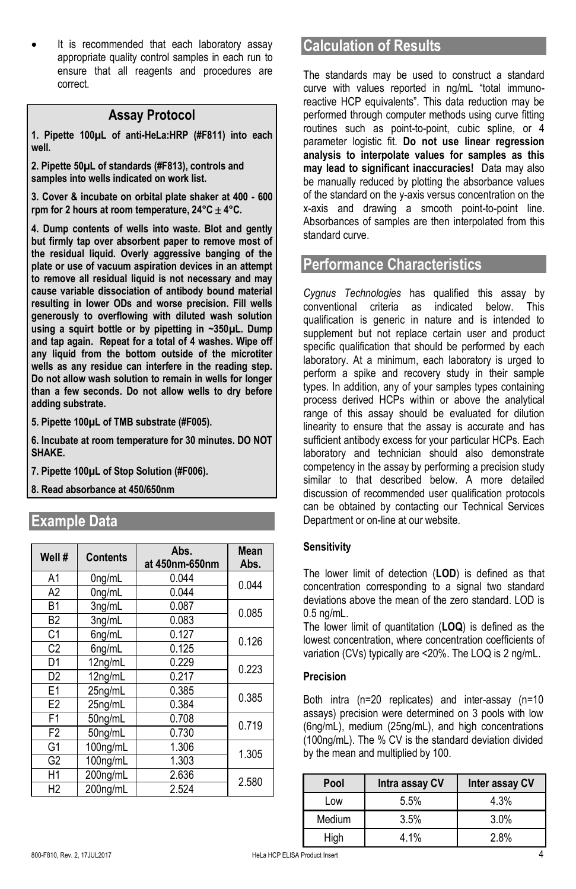It is recommended that each laboratory assay appropriate quality control samples in each run to ensure that all reagents and procedures are correct.

#### **Assay Protocol**

**1. Pipette 100µL of anti-HeLa:HRP (#F811) into each well.**

**2. Pipette 50µL of standards (#F813), controls and samples into wells indicated on work list.**

**3. Cover & incubate on orbital plate shaker at 400 - 600**  rpm for 2 hours at room temperature,  $24^{\circ}C \pm 4^{\circ}C$ .

**4. Dump contents of wells into waste. Blot and gently but firmly tap over absorbent paper to remove most of the residual liquid. Overly aggressive banging of the plate or use of vacuum aspiration devices in an attempt to remove all residual liquid is not necessary and may cause variable dissociation of antibody bound material resulting in lower ODs and worse precision. Fill wells generously to overflowing with diluted wash solution using a squirt bottle or by pipetting in ~350µL. Dump and tap again. Repeat for a total of 4 washes. Wipe off any liquid from the bottom outside of the microtiter wells as any residue can interfere in the reading step. Do not allow wash solution to remain in wells for longer than a few seconds. Do not allow wells to dry before adding substrate.**

**5. Pipette 100µL of TMB substrate (#F005).** 

**6. Incubate at room temperature for 30 minutes. DO NOT SHAKE.**

**7. Pipette 100µL of Stop Solution (#F006).**

**8. Read absorbance at 450/650nm** 

### **Example Data**

| Well #         | <b>Contents</b> | Abs.<br>at 450nm-650nm | Mean<br>Abs. |  |
|----------------|-----------------|------------------------|--------------|--|
| A1             | Ong/mL          | 0.044                  | 0.044        |  |
| A2             | Ong/mL          | 0.044                  |              |  |
| <b>B1</b>      | 3ng/mL          | 0.087                  | 0.085        |  |
| B <sub>2</sub> | 3ng/mL          | 0.083                  |              |  |
| C <sub>1</sub> | 6ng/mL          | 0.127                  | 0.126        |  |
| C <sub>2</sub> | 6ng/mL          | 0.125                  |              |  |
| D1             | 12ng/mL         | 0.229                  | 0.223        |  |
| D <sub>2</sub> | 12ng/mL         | 0.217                  |              |  |
| E1             | 25ng/mL         | 0.385                  | 0.385        |  |
| E <sub>2</sub> | 25ng/mL         | 0.384                  |              |  |
| F1             | 50ng/mL         | 0.708                  | 0.719        |  |
| F <sub>2</sub> | 50ng/mL         | 0.730                  |              |  |
| G <sub>1</sub> | 100ng/mL        | 1.306                  | 1.305        |  |
| G <sub>2</sub> | 100ng/mL        | 1.303                  |              |  |
| H1             | 200ng/mL        | 2.636                  | 2.580        |  |
| H <sub>2</sub> | 200ng/mL        | 2.524                  |              |  |

## **Calculation of Results**

The standards may be used to construct a standard curve with values reported in ng/mL "total immunoreactive HCP equivalents". This data reduction may be performed through computer methods using curve fitting routines such as point-to-point, cubic spline, or 4 parameter logistic fit. **Do not use linear regression analysis to interpolate values for samples as this may lead to significant inaccuracies!** Data may also be manually reduced by plotting the absorbance values of the standard on the y-axis versus concentration on the x-axis and drawing a smooth point-to-point line. Absorbances of samples are then interpolated from this standard curve.

#### **Performance Characteristics**

*Cygnus Technologies* has qualified this assay by conventional criteria as indicated below. This qualification is generic in nature and is intended to supplement but not replace certain user and product specific qualification that should be performed by each laboratory. At a minimum, each laboratory is urged to perform a spike and recovery study in their sample types. In addition, any of your samples types containing process derived HCPs within or above the analytical range of this assay should be evaluated for dilution linearity to ensure that the assay is accurate and has sufficient antibody excess for your particular HCPs. Each laboratory and technician should also demonstrate competency in the assay by performing a precision study similar to that described below. A more detailed discussion of recommended user qualification protocols can be obtained by contacting our Technical Services Department or on-line at our website.

#### **Sensitivity**

The lower limit of detection (**LOD**) is defined as that concentration corresponding to a signal two standard deviations above the mean of the zero standard. LOD is 0.5 ng/mL.

The lower limit of quantitation (**LOQ**) is defined as the lowest concentration, where concentration coefficients of variation (CVs) typically are <20%. The LOQ is 2 ng/mL.

#### **Precision**

Both intra (n=20 replicates) and inter-assay (n=10 assays) precision were determined on 3 pools with low (6ng/mL), medium (25ng/mL), and high concentrations (100ng/mL). The % CV is the standard deviation divided by the mean and multiplied by 100.

| Pool   | Intra assay CV | Inter assay CV |
|--------|----------------|----------------|
| Low    | 5.5%           | 4.3%           |
| Medium | 3.5%           | 3.0%           |
| High   | 4 1%           | 28%            |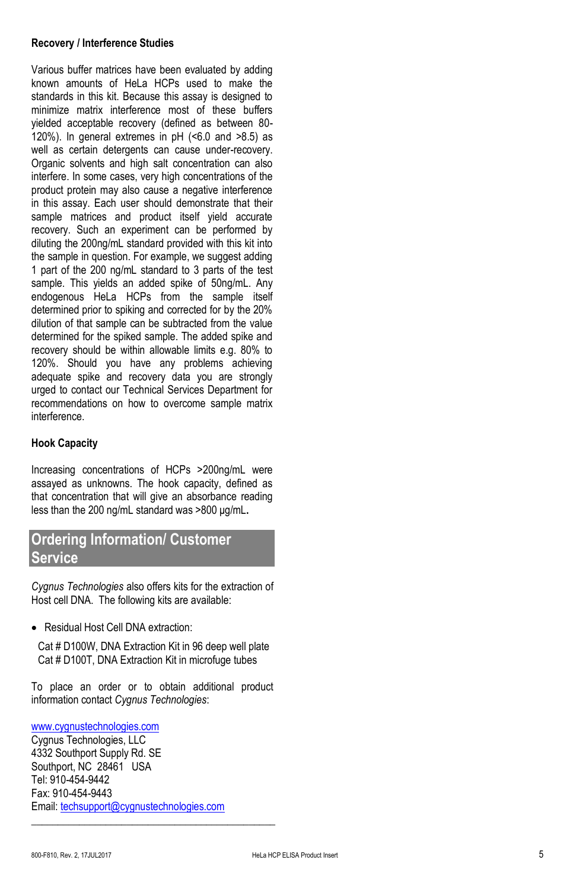#### **Recovery / Interference Studies**

Various buffer matrices have been evaluated by adding known amounts of HeLa HCPs used to make the standards in this kit. Because this assay is designed to minimize matrix interference most of these buffers yielded acceptable recovery (defined as between 80 - 120%). In general extremes in  $pH$  (<6.0 and  $>8.5$ ) as well as certain detergents can cause under -recovery. Organic solvents and high salt concentration can also interfere. In some cases, very high concentrations of the product protein may also cause a negative interference in this assay. Each user should demonstrate that their sample matrices and product itself yield accurate recovery. Such an experiment can be performed by diluting the 200ng/mL standard provided with this kit into the sample in question. For example, we suggest adding 1 part of the 200 ng/mL standard to 3 parts of the test sample. This yields an added spike of 50ng/mL. Any endogenous HeLa HCPs from the sample itself determined prior to spiking and corrected for by the 20% dilution of that sample can be subtracted from the value determined for the spiked sample. The added spike and recovery should be within allowable limits e.g. 80% to 120%. Should you have any problems achieving adequate spike and recovery data you are strongly recommendations on how to overcome sample matrix interference.

#### **Hook Capacity**

Increasing concentrations of HCPs >200ng/mL were assayed as unknowns. The hook capacity, defined as that concentration that will give an absorbance reading less than the 200 ng/mL standard was >800 μg/mL**.** 

### **Ordering Information/ Customer Service**

*Cygnus Technologies* also offers kits for the extraction of Host cell DNA. The following kits are available:

• Residual Host Cell DNA extraction:

Cat # D100W, DNA Extraction Kit in 96 deep well plate Cat # D100T, DNA Extraction Kit in microfuge tubes

To place an order or to obtain additional product information contact *Cygnus Technologies*:

**\_\_\_\_\_\_\_\_\_\_\_\_\_\_\_\_\_\_\_\_\_\_\_\_\_\_\_\_\_\_\_\_\_\_\_\_\_\_\_\_\_\_\_\_\_\_**

#### [www.cygnustechnologies.com](http://www.cygnustechnologies.com/)

Cygnus Technologies, LLC 4332 Southport Supply Rd. SE Southport, NC 28461 USA Tel: 910 -454 -9442 Fax: 910 -454 -9443 Email[: techsupport@cygnustechnologies.com](mailto:techsupport@cygnustechnologies.com)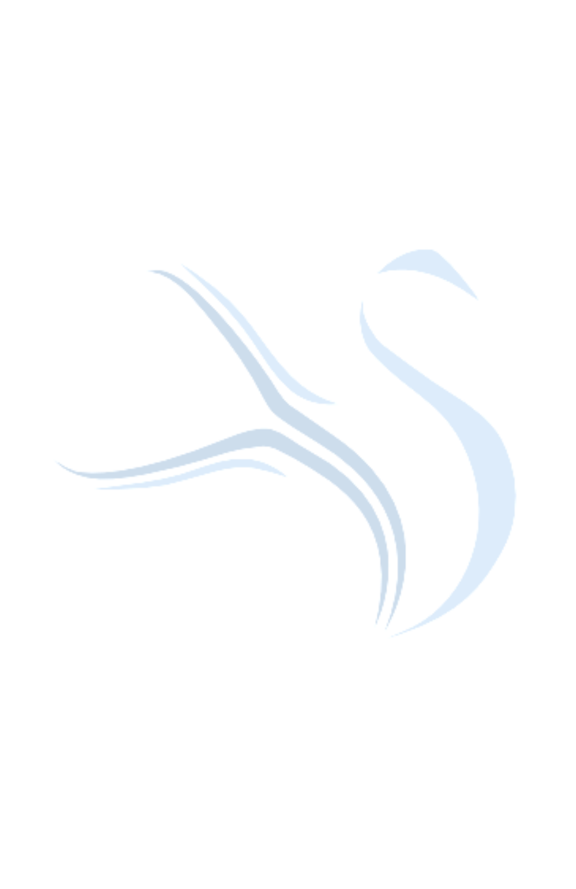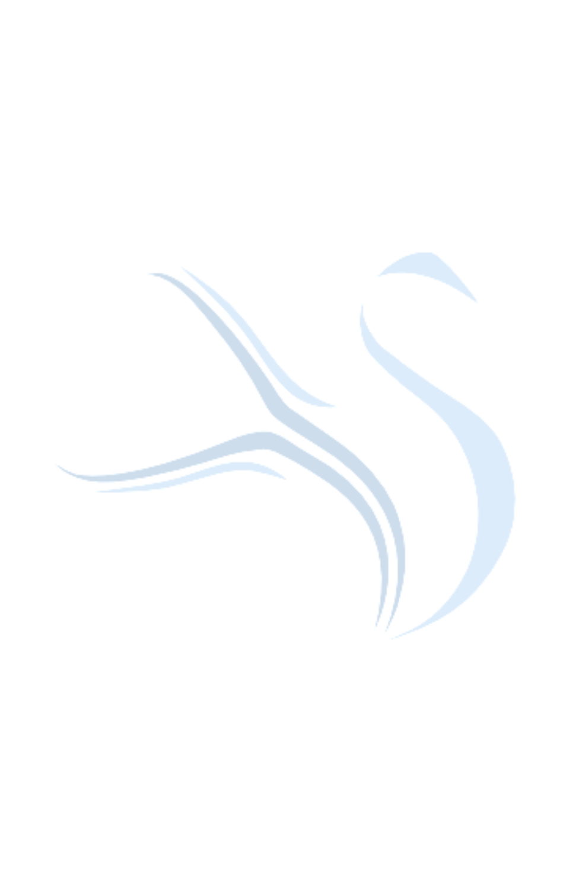